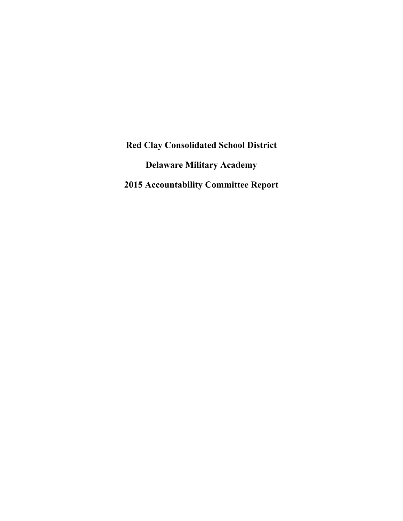**Red Clay Consolidated School District Delaware Military Academy 2015 Accountability Committee Report**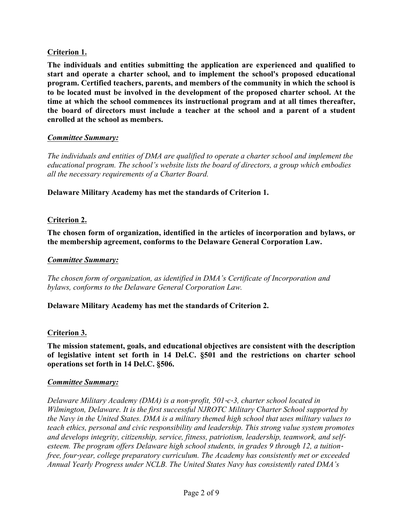# **Criterion 1.**

**The individuals and entities submitting the application are experienced and qualified to start and operate a charter school, and to implement the school's proposed educational program. Certified teachers, parents, and members of the community in which the school is to be located must be involved in the development of the proposed charter school. At the time at which the school commences its instructional program and at all times thereafter, the board of directors must include a teacher at the school and a parent of a student enrolled at the school as members.**

#### *Committee Summary:*

*The individuals and entities of DMA are qualified to operate a charter school and implement the educational program. The school's website lists the board of directors, a group which embodies all the necessary requirements of a Charter Board.*

**Delaware Military Academy has met the standards of Criterion 1.**

#### **Criterion 2.**

**The chosen form of organization, identified in the articles of incorporation and bylaws, or the membership agreement, conforms to the Delaware General Corporation Law.**

#### *Committee Summary:*

*The chosen form of organization, as identified in DMA's Certificate of Incorporation and bylaws, conforms to the Delaware General Corporation Law.*

#### **Delaware Military Academy has met the standards of Criterion 2.**

#### **Criterion 3.**

**The mission statement, goals, and educational objectives are consistent with the description of legislative intent set forth in 14 Del.C. §501 and the restrictions on charter school operations set forth in 14 Del.C. §506.**

#### *Committee Summary:*

*Delaware Military Academy (DMA) is a non*-*profit, 501*-*c*-*3, charter school located in Wilmington, Delaware. It is the first successful NJROTC Military Charter School supported by the Navy in the United States. DMA is a military themed high school that uses military values to teach ethics, personal and civic responsibility and leadership. This strong value system promotes and develops integrity, citizenship, service, fitness, patriotism, leadership, teamwork, and selfesteem. The program offers Delaware high school students, in grades 9 through 12, a tuitionfree, four*-*year, college preparatory curriculum. The Academy has consistently met or exceeded Annual Yearly Progress under NCLB. The United States Navy has consistently rated DMA's*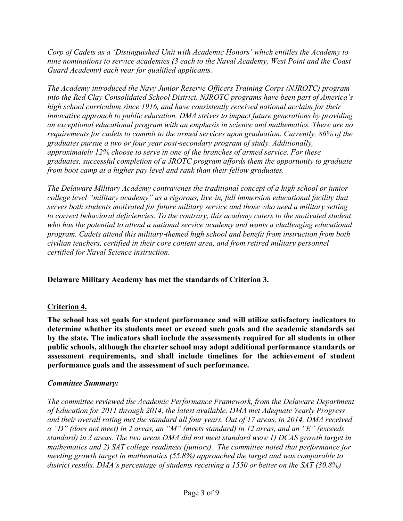*Corp of Cadets as a 'Distinguished Unit with Academic Honors' which entitles the Academy to nine nominations to service academies (3 each to the Naval Academy, West Point and the Coast Guard Academy) each year for qualified applicants.*

*The Academy introduced the Navy Junior Reserve Officers Training Corps (NJROTC) program into the Red Clay Consolidated School District. NJROTC programs have been part of America's high school curriculum since 1916, and have consistently received national acclaim for their innovative approach to public education. DMA strives to impact future generations by providing an exceptional educational program with an emphasis in science and mathematics. There are no requirements for cadets to commit to the armed services upon graduation. Currently, 86% of the graduates pursue a two or four year post*-*secondary program of study. Additionally, approximately 12% choose to serve in one of the branches of armed service. For these graduates, successful completion of a JROTC program affords them the opportunity to graduate from boot camp at a higher pay level and rank than their fellow graduates.* 

*The Delaware Military Academy contravenes the traditional concept of a high school or junior college level "military academy" as a rigorous, live*-*in, full immersion educational facility that serves both students motivated for future military service and those who need a military setting to correct behavioral deficiencies. To the contrary, this academy caters to the motivated student who has the potential to attend a national service academy and wants a challenging educational program. Cadets attend this military*-*themed high school and benefit from instruction from both civilian teachers, certified in their core content area, and from retired military personnel certified for Naval Science instruction.*

# **Delaware Military Academy has met the standards of Criterion 3.**

## **Criterion 4.**

**The school has set goals for student performance and will utilize satisfactory indicators to determine whether its students meet or exceed such goals and the academic standards set by the state. The indicators shall include the assessments required for all students in other public schools, although the charter school may adopt additional performance standards or assessment requirements, and shall include timelines for the achievement of student performance goals and the assessment of such performance.**

## *Committee Summary:*

*The committee reviewed the Academic Performance Framework, from the Delaware Department of Education for 2011 through 2014, the latest available. DMA met Adequate Yearly Progress and their overall rating met the standard all four years. Out of 17 areas, in 2014, DMA received a "D" (does not meet) in 2 areas, an "M" (meets standard) in 12 areas, and an "E" (exceeds standard) in 3 areas. The two areas DMA did not meet standard were 1) DCAS growth target in mathematics and 2) SAT college readiness (juniors). The committee noted that performance for meeting growth target in mathematics (55.8%) approached the target and was comparable to district results. DMA's percentage of students receiving a 1550 or better on the SAT (30.8%)*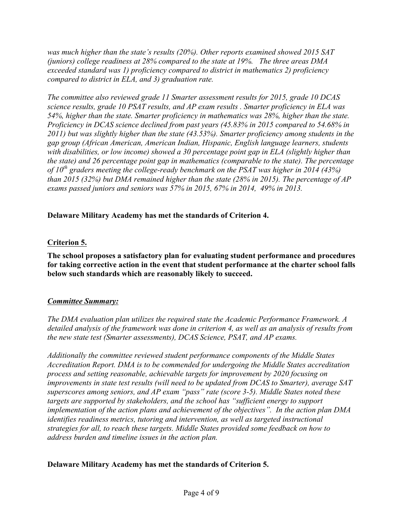*was much higher than the state's results (20%). Other reports examined showed 2015 SAT (juniors) college readiness at 28% compared to the state at 19%. The three areas DMA exceeded standard was 1) proficiency compared to district in mathematics 2) proficiency compared to district in ELA, and 3) graduation rate.* 

*The committee also reviewed grade 11 Smarter assessment results for 2015, grade 10 DCAS science results, grade 10 PSAT results, and AP exam results . Smarter proficiency in ELA was 54%, higher than the state. Smarter proficiency in mathematics was 28%, higher than the state. Proficiency in DCAS science declined from past years (45.83% in 2015 compared to 54.68% in 2011) but was slightly higher than the state (43.53%). Smarter proficiency among students in the gap group (African American, American Indian, Hispanic, English language learners, students with disabilities, or low income) showed a 30 percentage point gap in ELA (slightly higher than the state) and 26 percentage point gap in mathematics (comparable to the state). The percentage of 10th graders meeting the college-ready benchmark on the PSAT was higher in 2014 (43%) than 2015 (32%) but DMA remained higher than the state (28% in 2015). The percentage of AP exams passed juniors and seniors was 57% in 2015, 67% in 2014, 49% in 2013.* 

## **Delaware Military Academy has met the standards of Criterion 4.**

# **Criterion 5.**

**The school proposes a satisfactory plan for evaluating student performance and procedures for taking corrective action in the event that student performance at the charter school falls below such standards which are reasonably likely to succeed.**

## *Committee Summary:*

*The DMA evaluation plan utilizes the required state the Academic Performance Framework. A detailed analysis of the framework was done in criterion 4, as well as an analysis of results from the new state test (Smarter assessments), DCAS Science, PSAT, and AP exams.* 

*Additionally the committee reviewed student performance components of the Middle States Accreditation Report. DMA is to be commended for undergoing the Middle States accreditation process and setting reasonable, achievable targets for improvement by 2020 focusing on improvements in state test results (will need to be updated from DCAS to Smarter), average SAT superscores among seniors, and AP exam "pass" rate (score 3-5). Middle States noted these targets are supported by stakeholders, and the school has "sufficient energy to support implementation of the action plans and achievement of the objectives". In the action plan DMA identifies readiness metrics, tutoring and intervention, as well as targeted instructional strategies for all, to reach these targets. Middle States provided some feedback on how to address burden and timeline issues in the action plan.* 

## **Delaware Military Academy has met the standards of Criterion 5.**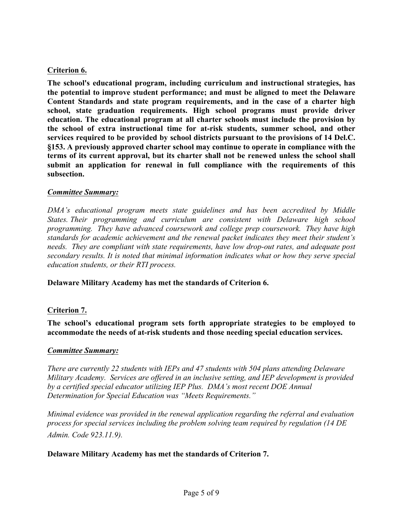# **Criterion 6.**

**The school's educational program, including curriculum and instructional strategies, has the potential to improve student performance; and must be aligned to meet the Delaware Content Standards and state program requirements, and in the case of a charter high school, state graduation requirements. High school programs must provide driver education. The educational program at all charter schools must include the provision by the school of extra instructional time for at-risk students, summer school, and other services required to be provided by school districts pursuant to the provisions of 14 Del.C. §153. A previously approved charter school may continue to operate in compliance with the terms of its current approval, but its charter shall not be renewed unless the school shall submit an application for renewal in full compliance with the requirements of this subsection.**

#### *Committee Summary:*

*DMA's educational program meets state guidelines and has been accredited by Middle States. Their programming and curriculum are consistent with Delaware high school programming. They have advanced coursework and college prep coursework. They have high standards for academic achievement and the renewal packet indicates they meet their student's needs. They are compliant with state requirements, have low drop-out rates, and adequate post secondary results. It is noted that minimal information indicates what or how they serve special education students, or their RTI process.*

**Delaware Military Academy has met the standards of Criterion 6.**

## **Criterion 7.**

**The school's educational program sets forth appropriate strategies to be employed to accommodate the needs of at-risk students and those needing special education services.**

#### *Committee Summary:*

*There are currently 22 students with IEPs and 47 students with 504 plans attending Delaware Military Academy. Services are offered in an inclusive setting, and IEP development is provided by a certified special educator utilizing IEP Plus. DMA's most recent DOE Annual Determination for Special Education was "Meets Requirements."*

*Minimal evidence was provided in the renewal application regarding the referral and evaluation process for special services including the problem solving team required by regulation (14 DE Admin. Code 923.11.9).*

## **Delaware Military Academy has met the standards of Criterion 7.**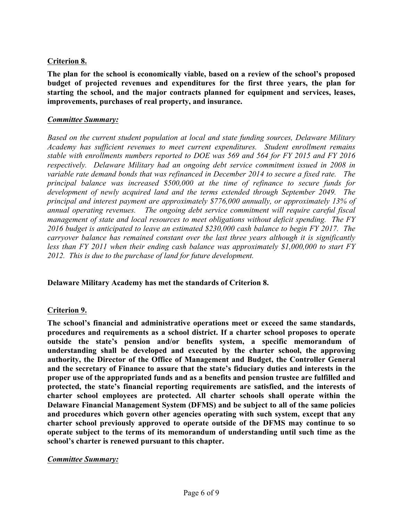# **Criterion 8.**

**The plan for the school is economically viable, based on a review of the school's proposed budget of projected revenues and expenditures for the first three years, the plan for starting the school, and the major contracts planned for equipment and services, leases, improvements, purchases of real property, and insurance.**

#### *Committee Summary:*

*Based on the current student population at local and state funding sources, Delaware Military Academy has sufficient revenues to meet current expenditures. Student enrollment remains stable with enrollments numbers reported to DOE was 569 and 564 for FY 2015 and FY 2016 respectively. Delaware Military had an ongoing debt service commitment issued in 2008 in variable rate demand bonds that was refinanced in December 2014 to secure a fixed rate. The principal balance was increased \$500,000 at the time of refinance to secure funds for development of newly acquired land and the terms extended through September 2049. The principal and interest payment are approximately \$776,000 annually, or approximately 13% of annual operating revenues. The ongoing debt service commitment will require careful fiscal management of state and local resources to meet obligations without deficit spending. The FY 2016 budget is anticipated to leave an estimated \$230,000 cash balance to begin FY 2017. The carryover balance has remained constant over the last three years although it is significantly less than FY 2011 when their ending cash balance was approximately \$1,000,000 to start FY 2012. This is due to the purchase of land for future development.*

**Delaware Military Academy has met the standards of Criterion 8.**

## **Criterion 9.**

**The school's financial and administrative operations meet or exceed the same standards, procedures and requirements as a school district. If a charter school proposes to operate outside the state's pension and/or benefits system, a specific memorandum of understanding shall be developed and executed by the charter school, the approving authority, the Director of the Office of Management and Budget, the Controller General and the secretary of Finance to assure that the state's fiduciary duties and interests in the proper use of the appropriated funds and as a benefits and pension trustee are fulfilled and protected, the state's financial reporting requirements are satisfied, and the interests of charter school employees are protected. All charter schools shall operate within the Delaware Financial Management System (DFMS) and be subject to all of the same policies and procedures which govern other agencies operating with such system, except that any charter school previously approved to operate outside of the DFMS may continue to so operate subject to the terms of its memorandum of understanding until such time as the school's charter is renewed pursuant to this chapter.**

#### *Committee Summary:*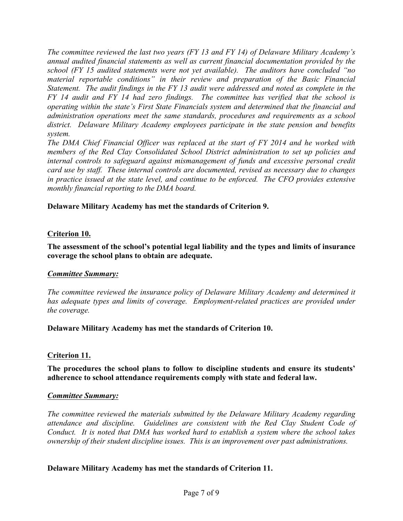*The committee reviewed the last two years (FY 13 and FY 14) of Delaware Military Academy's annual audited financial statements as well as current financial documentation provided by the school (FY 15 audited statements were not yet available). The auditors have concluded "no material reportable conditions" in their review and preparation of the Basic Financial Statement. The audit findings in the FY 13 audit were addressed and noted as complete in the FY 14 audit and FY 14 had zero findings. The committee has verified that the school is operating within the state's First State Financials system and determined that the financial and administration operations meet the same standards, procedures and requirements as a school district. Delaware Military Academy employees participate in the state pension and benefits system.*

*The DMA Chief Financial Officer was replaced at the start of FY 2014 and he worked with members of the Red Clay Consolidated School District administration to set up policies and internal controls to safeguard against mismanagement of funds and excessive personal credit card use by staff. These internal controls are documented, revised as necessary due to changes in practice issued at the state level, and continue to be enforced. The CFO provides extensive monthly financial reporting to the DMA board.*

## **Delaware Military Academy has met the standards of Criterion 9.**

## **Criterion 10.**

**The assessment of the school's potential legal liability and the types and limits of insurance coverage the school plans to obtain are adequate.**

## *Committee Summary:*

*The committee reviewed the insurance policy of Delaware Military Academy and determined it*  has adequate types and limits of coverage. Employment-related practices are provided under *the coverage.*

#### **Delaware Military Academy has met the standards of Criterion 10.**

## **Criterion 11.**

## **The procedures the school plans to follow to discipline students and ensure its students' adherence to school attendance requirements comply with state and federal law.**

#### *Committee Summary:*

*The committee reviewed the materials submitted by the Delaware Military Academy regarding attendance and discipline. Guidelines are consistent with the Red Clay Student Code of Conduct. It is noted that DMA has worked hard to establish a system where the school takes ownership of their student discipline issues. This is an improvement over past administrations.*

## **Delaware Military Academy has met the standards of Criterion 11.**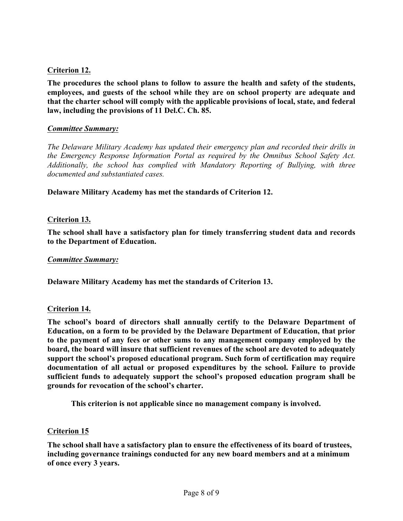## **Criterion 12.**

**The procedures the school plans to follow to assure the health and safety of the students, employees, and guests of the school while they are on school property are adequate and that the charter school will comply with the applicable provisions of local, state, and federal law, including the provisions of 11 Del.C. Ch. 85.**

#### *Committee Summary:*

*The Delaware Military Academy has updated their emergency plan and recorded their drills in the Emergency Response Information Portal as required by the Omnibus School Safety Act. Additionally, the school has complied with Mandatory Reporting of Bullying, with three documented and substantiated cases.*

**Delaware Military Academy has met the standards of Criterion 12.**

## **Criterion 13.**

**The school shall have a satisfactory plan for timely transferring student data and records to the Department of Education.**

#### *Committee Summary:*

**Delaware Military Academy has met the standards of Criterion 13.**

#### **Criterion 14.**

**The school's board of directors shall annually certify to the Delaware Department of Education, on a form to be provided by the Delaware Department of Education, that prior to the payment of any fees or other sums to any management company employed by the board, the board will insure that sufficient revenues of the school are devoted to adequately support the school's proposed educational program. Such form of certification may require documentation of all actual or proposed expenditures by the school. Failure to provide sufficient funds to adequately support the school's proposed education program shall be grounds for revocation of the school's charter.**

**This criterion is not applicable since no management company is involved.**

#### **Criterion 15**

**The school shall have a satisfactory plan to ensure the effectiveness of its board of trustees, including governance trainings conducted for any new board members and at a minimum of once every 3 years.**